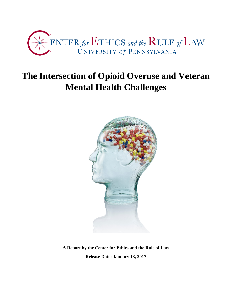

# **The Intersection of Opioid Overuse and Veteran Mental Health Challenges**



**A Report by the Center for Ethics and the Rule of Law Release Date: January 13, 2017**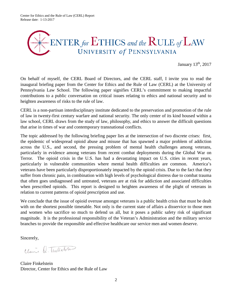Center for Ethics and the Rule of Law (CERL) Report Release date: 1-13-2017



January 13th, 2017

On behalf of myself, the CERL Board of Directors, and the CERL staff, I invite you to read the inaugural briefing paper from the Center for Ethics and the Rule of Law (CERL) at the University of Pennsylvania Law School. The following paper signifies CERL's commitment to making impactful contributions to a public conversation on critical issues relating to ethics and national security and to heighten awareness of risks to the rule of law.

CERL is a non-partisan interdisciplinary institute dedicated to the preservation and promotion of the rule of law in twenty-first century warfare and national security. The only center of its kind housed within a law school, CERL draws from the study of law, philosophy, and ethics to answer the difficult questions that arise in times of war and contemporary transnational conflicts.

The topic addressed by the following briefing paper lies at the intersection of two discrete crises: first, the epidemic of widespread opioid abuse and misuse that has spawned a major problem of addiction across the U.S., and second, the pressing problem of mental health challenges among veterans, particularly in evidence among veterans from recent combat deployments during the Global War on Terror. The opioid crisis in the U.S. has had a devastating impact on U.S. cities in recent years, particularly in vulnerable communities where mental health difficulties are common. America's veterans have been particularly disproportionately impacted by the opioid crisis. Due to the fact that they suffer from chronic pain, in combination with high levels of psychological distress due to combat trauma that often goes undiagnosed and untreated, veterans are at risk for addiction and associated difficulties when prescribed opioids. This report is designed to heighten awareness of the plight of veterans in relation to current patterns of opioid prescription and use.

We conclude that the issue of opioid overuse amongst veterans is a public health crisis that must be dealt with on the shortest possible timetable. Not only is the current state of affairs a disservice to those men and women who sacrifice so much to defend us all, but it poses a public safety risk of significant magnitude. It is the professional responsibility of the Veteran's Administration and the military service branches to provide the responsible and effective healthcare our service men and women deserve.

Sincerely,

Claire Q. Tuillelyn

Claire Finkelstein Director, Center for Ethics and the Rule of Law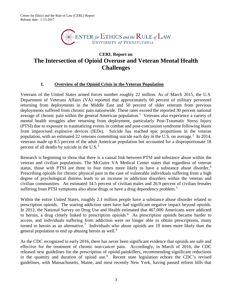

# **CERL Report on The Intersection of Opioid Overuse and Veteran Mental Health Challenges**

#### **I. Overview of the Opioid Crisis in the Veteran Population**

Veterans of the United States armed forces number roughly 22 million. As of March 2015, the U.S. Department of Veterans Affairs (VA) reported that approximately 60 percent of military personnel returning from deployments in the Middle East and 50 percent of older veterans from previous deployments suffered from chronic pain nationwide. These rates exceed the reported 30 percent national average of chronic pain within the general American population.<sup>[1](#page-7-0)</sup> Veterans also experience a variety of mental health struggles after returning from deployment, particularly Post-Traumatic Stress Injury (PTSI) due to exposure to traumatizing events in combat and post-concussion syndrome following blasts from improvised explosive devices (IEDs). Suicide has reached epic proportions in the veteran population, with an estimated [2](#page-7-1)2 veterans committing suicide each day in the U.S. on average.<sup>2</sup> In 2014, veterans made up 8.5 percent of the adult American population but accounted for a disproportionate 18 percent of all deaths by suicide in the  $U.S.<sup>3</sup>$  $U.S.<sup>3</sup>$  $U.S.<sup>3</sup>$ 

Research is beginning to show that there is a causal link between PTSI and substance abuse within the veteran and civilian populations. The McGuire VA Medical Center states that regardless of veteran status, those with PTSI are three to four times more likely to have a substance abuse disorder.<sup>[4](#page-7-3)</sup> Prescribing opioids for chronic physical pain in the case of vulnerable individuals suffering from a high degree of psychological distress leads to an increase in addiction disorders within the veteran and civilian communities. An estimated 34.5 percent of civilian males and 26.9 percent of civilian females suffering from PTSI symptoms also abuse drugs or have a drug dependency problem.<sup>[5](#page-7-4)</sup>

Within the entire United States, roughly 2.1 million people have a substance abuse disorder related to prescription opioids. The soaring addiction rates have had significant negative impact beyond opioids. In 2012, the National Survey on Drug Use and Health estimated that 467,000 Americans were addicted to heroin, a drug closely linked to prescription opioids. [6](#page-7-5) As prescription opioids became harder to access, and individuals suffering from addiction were no longer able to obtain prescriptions, many turned to heroin as an alternative.<sup>[7](#page-7-6)</sup> Individuals who abuse opioids are 19 times more likely than the general population to end up abusing heroin as well.<sup>[8](#page-7-7)</sup>

As the CDC recognized in early 2016, there has never been significant evidence that opioids are safe and effective for the treatment of chronic non-cancer pain. Accordingly, in March of 2016, the CDC released new guidelines for the prescription of opioid painkillers, recommending significant reductions in the quantity and duration of opioid use.<sup>[9](#page-7-8)</sup> Recent state legislation echoes the CDC's revised guidelines, with Massachusetts, Maine, and most recently New York, having passed reform bills that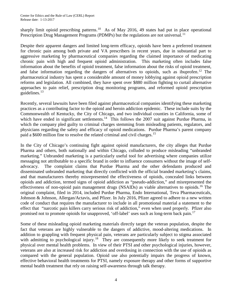sharply limit opioid prescribing patterns.<sup>[10](#page-8-0)</sup> As of May 2016, 49 states had put in place operational Prescription Drug Management Programs (PDMPs) but the regulations are not universal.<sup>[11](#page-8-1)</sup>

Despite their apparent dangers and limited long-term efficacy, opioids have been a preferred treatment for chronic pain among both private and VA prescribers in recent years, due in substantial part to aggressive marketing by pharmaceutical companies regarding the claimed importance of medicating chronic pain with high and frequent opioid administration. This marketing often includes false information about the benefits of opioid treatment, false information about the risks of opioid treatment, and false information regarding the dangers of alternatives to opioids, such as ibuprofen.<sup>[12](#page-8-2)</sup> The pharmaceutical industry has spent a considerable amount of money lobbying against opioid prescription reforms and legislation. All combined, they have spent over \$880 million fighting to curtail alternative approaches to pain relief, prescription drug monitoring programs, and reformed opioid prescription guidelines. $13$ 

Recently, several lawsuits have been filed against pharmaceutical companies identifying these marketing practices as a contributing factor to the opioid and heroin addiction epidemic. These include suits by the Commonwealth of Kentucky, the City of Chicago, and two individual counties in California, some of which have ended in significant settlements.<sup>14</sup> This follows the 2007 suit against Purdue Pharma, in which the company pled guilty to criminal charges stemming from misleading patients, regulators, and physicians regarding the safety and efficacy of opioid medications. Purdue Pharma's parent company paid a \$600 million fine to resolve the related criminal and civil charges.[15](#page-8-5)

In the City of Chicago's continuing fight against opioid manufacturers, the city alleges that Purdue Pharma and others, both nationally and within Chicago, colluded to produce misleading "unbranded marketing." Unbranded marketing is a particularly useful tool for advertising where companies utilize messaging not attributable to a specific brand in order to influence consumers without the image of selfadvocacy. The complaint claims that Purdue Pharma and the other defendants produced and disseminated unbranded marketing that directly conflicted with the official branded marketing's claims, and that manufacturers thereby misrepresented the effectiveness of opioids, concealed links between opioids and addiction, termed signs of opioid addiction as "pseudo-addiction," and misrepresented the effectiveness of non-opioid pain management drugs (NSAIDs) as viable alternatives to opioids.<sup>[16](#page-8-6)</sup> The original complaint, filed in 2014, included Purdue Pharma, Endo International, Teva Pharmaceuticals, Johnson & Johnson, Allergan/Actavis, and Pfizer. In July 2016, Pfizer agreed to adhere to a new written code of conduct that requires the manufacturer to include in all promotional material a statement to the effect that "narcotic pain killers carry serious risk of addiction," even when used properly. Pfizer also promised not to promote opioids for unapproved, 'off-label' uses such as long-term back pain.<sup>[17](#page-8-7)</sup>

Some of these misleading opioid marketing materials directly target the veteran population, despite the fact that veterans are highly vulnerable to the dangers of addictive, mood-altering medications. In addition to grappling with frequent physical pain, veterans are particularly subject to stigma associated with admitting to psychological injury.<sup>[18](#page-8-8)</sup> They are consequently more likely to seek treatment for physical over mental health problems. In view of their PTSI and other psychological injuries, however, veterans are also at increased risk for addiction and overdosing in connection with the use of opioids as compared with the general population. Opioid use also potentially impairs the progress of known, effective behavioral health treatments for PTSI, namely exposure therapy and other forms of supportive mental health treatment that rely on raising self-awareness through talk therapy.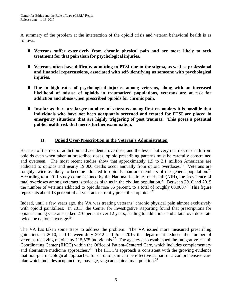A summary of the problem at the intersection of the opioid crisis and veteran behavioral health is as follows:

- **Veterans suffer extensively from chronic physical pain and are more likely to seek treatment for that pain than for psychological injuries.**
- **Veterans often have difficulty admitting to PTSI due to the stigma, as well as professional and financial repercussions, associated with self-identifying as someone with psychological injuries.**
- **Due to high rates of psychological injuries among veterans, along with an increased likelihood of misuse of opioids in traumatized populations, veterans are at risk for addiction and abuse when prescribed opioids for chronic pain.**
- **Insofar as there are larger numbers of veterans among first-responders it is possible that individuals who have not been adequately screened and treated for PTSI are placed in emergency situations that are highly triggering of past traumas. This poses a potential public health risk that merits further examination.**

## **II. Opioid Over-Prescription in the Veteran's Administration**

Because of the risk of addiction and accidental overdose, and the lesser but very real risk of death from opioids even when taken at prescribed doses, opioid prescribing patterns must be carefully constrained and overseen. The most recent studies show that approximately 1.9 to 2.1 million Americans are addicted to opioids and nearly [19](#page-8-9),000 deaths occur annually from opioid overdoses.<sup>19</sup> Veterans are roughly twice as likely to become addicted to opioids than are members of the general population.<sup>[20](#page-8-10)</sup> According to a 2011 study commissioned by the National Institutes of Health (NIH), the prevalence of fatal overdoses among veterans is twice as high as in the civilian population.<sup>[21](#page-8-11)</sup> Between 2010 and 2015 the number of veterans addicted to opioids rose 55 percent, to a total of roughly  $68,000$ .<sup>[22](#page-8-12)</sup> This figure represents about 13 percent of all veterans currently prescribed opioids.  $^{23}$  $^{23}$  $^{23}$ 

Indeed, until a few years ago, the VA was treating veterans' chronic physical pain almost exclusively with opioid painkillers. In 2013, the Center for Investigative Reporting found that prescriptions for opiates among veterans spiked 270 percent over 12 years, leading to addictions and a fatal overdose rate twice the national average. $24$ 

The VA has taken some steps to address the problem. The VA issued more measured prescribing guidelines in 2010, and between July 2012 and June 2015 the department reduced the number of veterans receiving opioids by 115,575 individuals.<sup>[25](#page-8-15)</sup> The agency also established the Integrative Health Coordinating Center (IHCC) within the Office of Patient-Centered Care, which includes complementary and alternative medicine approaches.<sup>[26](#page-8-16)</sup> The IHCC's approach is consistent with the growing evidence that non-pharmacological approaches for chronic pain can be effective as part of a comprehensive care plan which includes acupuncture, massage, yoga and spinal manipulation.<sup>[27](#page-8-17)</sup>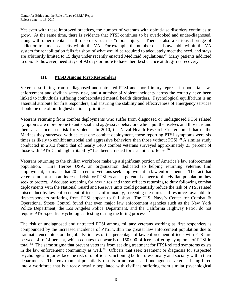Yet even with these improved practices, the number of veterans with opioid-use disorders continues to grow. At the same time, there is evidence that PTSI continues to be overlooked and under-diagnosed, along with other mental health disorders such as "moral injury." There is also a serious shortage of addiction treatment capacity within the VA. For example, the number of beds available within the VA system for rehabilitation falls far short of what would be required to adequately meet the need, and stays are arbitrarily limited to 15 days under recently enacted Medicaid regulations.<sup>[28](#page-8-18)</sup> Many patients addicted to opioids, however, need stays of 90 days or more to have their best chance at drug-free recovery.

## **III. PTSD Among First-Responders**

Veterans suffering from undiagnosed and untreated PTSI and moral injury represent a potential lawenforcement and civilian safety risk, and a number of violent incidents across the country have been linked to individuals suffering combat-related mental health disorders. Psychological equilibrium is an essential attribute for first responders, and ensuring the stability and effectiveness of emergency services should be one of our highest national priorities.

Veterans returning from combat deployments who suffer from diagnosed or undiagnosed PTSI related symptoms are more prone to antisocial and aggressive behaviors which put themselves and those around them at an increased risk for violence. In 2010, the Naval Health Research Center found that of the Marines they surveyed with at least one combat deployment, those reporting PTSI symptoms were six times as likely to exhibit antisocial and aggressive behaviors than those without PTSI.<sup>[29](#page-8-19)</sup> A similar study conducted in 2012 found that of nearly 1400 combat veterans surveyed approximately 23 percent of those with "PTSD and high irritability" had been arrested for a criminal offense.<sup>[30](#page-8-20)</sup>

Veterans returning to the civilian workforce make up a significant portion of America's law enforcement population. Hire Heroes USA, an organization dedicated to helping returning veterans find employment, estimates that 20 percent of veterans seek employment in law enforcement.<sup>31</sup> The fact that veterans are at such an increased risk for PTSI creates a potential danger to the civilian population they seek to protect. Adequate screening for new hires and those officers returning to duty following combat deployments with the National Guard and Reserve units could potentially reduce the risk of PTSI related misconduct by law enforcement officers. Unfortunately, screening measures and resources available to first-responders suffering from PTSI appear to fall short. The U.S. Navy's Center for Combat & Operational Stress Control found that even major law enforcement agencies such as the New York Police Department, the Los Angeles Police Department, and the California Highway Patrol do not require PTSI-specific psychological testing during the hiring process.<sup>[32](#page-8-22)</sup>

The risk of undiagnosed and untreated PTSI among military veterans working as first responders is compounded by the increased incidence of PTSI within the greater law enforcement population due to traumatic encounters on the job. Estimates of the percentage of law enforcement officers with PTSI are between 4 to 14 percent, which equates to upwards of 150,000 officers suffering symptoms of PTSI in total.<sup>[33](#page-9-0)</sup> The same stigma that prevent veterans from seeking treatment for PTSI-related symptoms exists in the law enforcement community as well.<sup>34</sup> Officers that seek treatment or diagnosis for suspected psychological injuries face the risk of unofficial sanctioning both professionally and socially within their departments. This environment potentially results in untreated and undiagnosed veterans being hired into a workforce that is already heavily populated with civilians suffering from similar psychological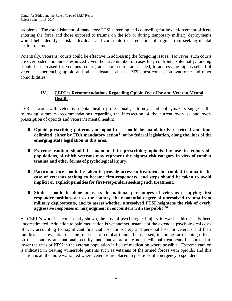problems. The establishment of mandatory PTSI screening and counseling for law enforcement officers entering the force and those exposed to trauma on the job or during temporary military deployments would help identify at-risk individuals and contribute to a reduction of stigma from seeking mental health treatment.

Potentially, veterans' courts could be effective in addressing the foregoing issues. However, such courts are overloaded and under-resourced given the large number of cases they confront. Potentially, funding should be increased for veterans' courts, and more courts are needed, to address the high caseload of veterans experiencing opioid and other substance abuses, PTSI, post-concussion syndrome and other comorbidities.

#### **IV. CERL's Recommendations Regarding Opioid Over-Use and Veteran Mental Health**

CERL's work with veterans, mental health professionals, attorneys and policymakers suggests the following summary recommendations regarding the intersection of the current over-use and overprescription of opioids and veteran's mental health:

- Opioid prescribing patterns and opioid use should be mandatorily restricted and time **delimited, either by FDA mandatory action[35](#page-9-2) or by federal legislation, along the lines of the emerging state legislation in this area.**
- **Extreme caution should be mandated in prescribing opioids for use in vulnerable populations, of which veterans may represent the highest risk category in view of combat trauma and other forms of psychological injury.**
- **Particular care should be taken to provide access to treatment for combat trauma in the case of veterans seeking to become first-responders, and steps should be taken to avoid implicit or explicit penalties for first-responders seeking such treatment.**
- **Studies should be done to assess the national percentages of veterans occupying first responder positions across the country, their potential degree of unresolved trauma from military deployments, and to assess whether unresolved PTSI heightens the risk of overly aggressive responses or misjudgment in encounters with the public. [36](#page-9-3)**

As CERL's work has consistently shown, the cost of psychological injury in war has historically been underestimated. Addiction to pain medication is yet another instance of the extended psychological costs of war, accounting for significant financial loss for society and personal loss for veterans and their families. It is essential that the full costs of combat trauma be assessed, including far-reaching effects on the economy and national security, and that appropriate non-medicinal treatments be pursued to lower the rates of PTSI in the veteran population in lieu of medication where possible. Extreme caution is indicated in treating vulnerable patients such as veterans of the armed forces with opioids, and this caution is all the more warranted where veterans are placed in positions of emergency responders.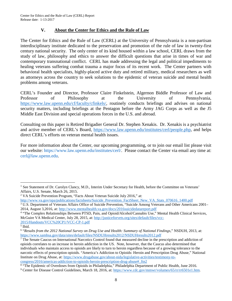#### **V. About the Center for Ethics and the Rule of Law**

The Center for Ethics and the Rule of Law (CERL) at the University of Pennsylvania is a non-partisan interdisciplinary institute dedicated to the preservation and promotion of the rule of law in twenty-first century national security. The only center of its kind housed within a law school, CERL draws from the study of law, philosophy and ethics to answer the difficult questions that arise in times of war and contemporary transnational conflict. CERL has made addressing the legal and political impediments to healing veterans suffering combat trauma a major focus of its recent work. The Center partners with behavioral health specialists, highly-placed active duty and retired military, medical researchers as well as attorneys across the country to seek solutions to the epidemic of veteran suicide and mental health problems among veterans.

CERL's Founder and Director, Professor Claire Finkelstein, Algernon Biddle Professor of Law and Professor of Philosophy at the University of Pennsylvania, [https://www.law.upenn.edu/cf/faculty/cfinkels/,](https://www.law.upenn.edu/cf/faculty/cfinkels/) routinely conducts briefings and advises on national security matters, including briefings at the Pentagon before the Army JAG Corps as well as the J5 Middle East Division and special operations forces in the U.S. and abroad.

Consulting on this paper is Retired Brigadier General Dr. Stephen Xenakis. Dr. Xenakis is a psychiatrist and active member of CERL's Board, [https://www.law.upenn.edu/institutes/cerl/people.php,](https://www.law.upenn.edu/institutes/cerl/people.php) and helps direct CERL's efforts on veteran mental health issues.

For more information about the Center, our upcoming programming, or to join our email list please visit our website: [https://www.law.upenn.edu/institutes/cerl/.](https://www.law.upenn.edu/institutes/cerl/) Please contact the Center via email any time at: [cerl@law.upenn.edu.](mailto:cerl@law.upenn.edu)

 $\overline{\phantom{a}}$ 

<span id="page-7-0"></span><sup>&</sup>lt;sup>1</sup> See Statement of Dr. Carolyn Clancy, M.D., Interim Under Secretary for Health, before the Committee on Veterans' Affairs, U.S. Senate, March 26, 2015.

<span id="page-7-1"></span><sup>2</sup> VA Suicide Prevention Program, "Facts About Veteran Suicide July 2016," at:

[http://www.va.gov/opa/publications/factsheets/Suicide\\_Prevention\\_FactSheet\\_New\\_VA\\_Stats\\_070616\\_1400.pdf](http://www.va.gov/opa/publications/factsheets/Suicide_Prevention_FactSheet_New_VA_Stats_070616_1400.pdf)

<span id="page-7-2"></span><sup>&</sup>lt;sup>3</sup> U.S. Department of Veterans Affairs Office of Suicide Prevention, "Suicide Among Veterans and Other Americans 2001– 2014, August 3,2016, at[: http://www.mentalhealth.va.gov/docs/2016suicidedatareport.pdf](http://www.mentalhealth.va.gov/docs/2016suicidedatareport.pdf)

<span id="page-7-3"></span><sup>&</sup>lt;sup>4</sup> "The Complex Relationships Between PTSD, Pain, and Opioid/Alcohol/Cannabis Use," Mental Health Clinical Services, McGuire VA Medical Center, July 28, 2015, at: [http://justiceforvets.org/sites/default/files/vcc-](http://justiceforvets.org/sites/default/files/vcc-2015/Handouts/VCC%20CP1/VCC-CP-1.pdf)[2015/Handouts/VCC%20CP1/VCC-CP-1.pdf](http://justiceforvets.org/sites/default/files/vcc-2015/Handouts/VCC%20CP1/VCC-CP-1.pdf)

<span id="page-7-4"></span> $\overline{\overline{\phantom{1}^{5}}\text{Ibid.}}$ 

<span id="page-7-5"></span><sup>6</sup> "*Results from the 2012 National Survey on Drug Use and Health: Summary of National Findings*," NSDUH, 2013, at: <https://www.samhsa.gov/data/sites/default/files/NSDUHresults2012/NSDUHresults2012.pdf>

<span id="page-7-6"></span><sup>7</sup> The Senate Caucus on International Narcotics Control found that measured decline in the prescription and addiction of opioids correlates to an increase in heroin addiction in the US. Note, however, that the Caucus also determined that individuals who maintain access to opioids are likely to turn to heroin regardless because of a growing tolerance to the narcotic effects of prescription opioids. "America's Addiction to Opioids: Heroin and Prescription Drug Abuse," National Institute on Drug Abuse, at: [https://www.drugabuse.gov/about-nida/legislative-activities/testimony-to](https://www.drugabuse.gov/about-nida/legislative-activities/testimony-to-congress/2016/americas-addiction-to-opioids-heroin-prescription-drug-abuse#_ftn2)[congress/2016/americas-addiction-to-opioids-heroin-prescription-drug-abuse#\\_ftn2](https://www.drugabuse.gov/about-nida/legislative-activities/testimony-to-congress/2016/americas-addiction-to-opioids-heroin-prescription-drug-abuse#_ftn2)

<span id="page-7-8"></span><span id="page-7-7"></span><sup>8</sup> "The Epidemic of Overdoses from Opioids in Philadelphia," Philadelphia Department of Public Health, June 2016. <sup>9</sup> Center for Disease Control Guidelines, March 18, 2016, at: [https://www.cdc.gov/mmwr/volumes/65/rr/rr6501e1.htm.](https://www.cdc.gov/mmwr/volumes/65/rr/rr6501e1.htm)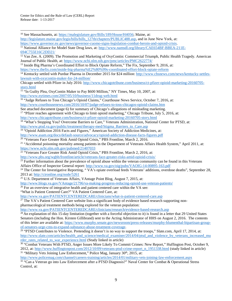<span id="page-8-22"></span><span id="page-8-21"></span><span id="page-8-20"></span><span id="page-8-19"></span><span id="page-8-18"></span><span id="page-8-17"></span><span id="page-8-16"></span><span id="page-8-15"></span><span id="page-8-14"></span><span id="page-8-13"></span><span id="page-8-12"></span><span id="page-8-11"></span><span id="page-8-10"></span><span id="page-8-9"></span><span id="page-8-8"></span><span id="page-8-7"></span><span id="page-8-6"></span><span id="page-8-5"></span><span id="page-8-4"></span><span id="page-8-3"></span><span id="page-8-2"></span><span id="page-8-1"></span><span id="page-8-0"></span>

| <sup>10</sup> See Massachusetts, at: https://malegislature.gov/Bills/189/House/H4056; Maine, at:                                       |
|----------------------------------------------------------------------------------------------------------------------------------------|
| http://legislature.maine.gov/legis/bills/bills 127th/chapters/PUBLIC488.asp, and in June New York, at:                                 |
| https://www.governor.ny.gov/news/governor-cuomo-signs-legislation-combat-heroin-and-opioid-crisis.                                     |
| <sup>11</sup> National Alliance for Model State Drug laws, at: http://www.namsdl.org/library/CAE654BF-BBEA-211E-                       |
| 694C755E16C2DD21/                                                                                                                      |
| $12$ Van Zee, A. (2009). The Promotion and Marketing of OxyContin: Commercial Triumph, Public Health Tragedy. American                 |
| Journal of Public Health, at: https://www.ncbi.nlm.nih.gov/pmc/articles/PMC2622774/                                                    |
|                                                                                                                                        |
| <sup>13</sup> Inside Big Pharma's Coordinated Effort to Block Opiate Reform," The Fix, September 9, 2016, at:                          |
| https://www.thefix.com/inside-big-pharma%E2%80%99s-coordinated-effort-block-opiate-reform                                              |
| <sup>14</sup> Kentucky settled with Purdue Pharma in December 2015 for \$24 million: http://www.cbsnews.com/news/kentucky-settles-     |
| lawsuit-with-oxycontin-maker-for-24-million/                                                                                           |
| Chicago settled with Pfizer in July 2016: http://www.chicagotribune.com/business/ct-pfizer-opioid-marketing-20160705-                  |
| story.html                                                                                                                             |
| <sup>15</sup> "In Guilty Plea, OxyContin Maker to Pay \$600 Million," NY Times, May 10, 2007, at:                                      |
| http://www.nytimes.com/2007/05/10/business/11drug-web.html                                                                             |
| <sup>16</sup> "Judge Refuses to Toss Chicago's Opioid Claims," Courthouse News Service, October 7, 2016, at:                           |
| http://www.courthousenews.com/2016/10/07/judge-refuses-to-toss-chicagos-opioid-claims.htm                                              |
| See attached document (page 6) for summary of Chicago's allegations of misleading marketing.                                           |
| <sup>17</sup> "Pfizer reaches agreement with Chicago to limit opioid marketing," Chicago Tribune, July 5, 2016, at:                    |
| http://www.chicagotribune.com/business/ct-pfizer-opioid-marketing-20160705-story.html                                                  |
| <sup>18</sup> "What's Stopping You? Overcome Barriers to Care," Veterans Administration, National Center for PTSD, at:                 |
| http://www.ptsd.va.gov/public/treatment/therapy-med/Stigma Barriers to Care.asp                                                        |
| <sup>19</sup> "Opioid Addiction 2016 Facts and Figures," American Society of Addiction Medicines, at:                                  |
| http://www.asam.org/docs/default-source/advocacy/opioid-addiction-disease-facts-figures.pdf                                            |
| <sup>20 "</sup> Veterans Face Greater Risk Amid Opioid Crisis," PBS Frontline, March 2, 2016.                                          |
| <sup>21</sup> "Accidental poisoning mortality among patients in the Department of Veterans Affairs Health System," April 2011, at:     |
| https://www.ncbi.nlm.nih.gov/pubmed/21407033                                                                                           |
| <sup>22</sup> "Veterans Face Greater Risk Amid Opioid Crisis," PBS Frontline, March 2, 2016, at:                                       |
| http://www.pbs.org/wgbh/frontline/article/veterans-face-greater-risks-amid-opioid-crisis/                                              |
| <sup>23</sup> Further information about the prevalence of opioid abuse within the veteran community can be found in this Veterans      |
|                                                                                                                                        |
| Affairs Office of Inspector General report: http://www.va.gov/oig/pubs/VAOIG-14-00895-163.pdf                                          |
| <sup>24</sup> The Center for Investigative Reporting, "VA's opiate overload feeds Veterans' additions, overdose deaths", September 28, |
| 2013 at: http://cironline.org/node/5261                                                                                                |
| <sup>25</sup> U.S. Department of Veterans Affairs, VAntage Point Blog, August 7, 2015, at:                                             |
| http://www.blogs.va.gov/VAntage/21796/va-making-progress-reducing-opioid-use-veteran-patients/                                         |
| <sup>26</sup> For an overview of integrative health and patient centered care within the VA see:                                       |
| "What is Patient Centered Care?" VA Patient Centered Care, at:                                                                         |
| http://www.va.gov/PATIENTCENTEREDCARE/clinicians/what-is-patient-centered-care.asp                                                     |
| <sup>27</sup> The VA's Patient Centered Care website lists a significant body of evidence based research supporting non-               |
| pharmacological treatment methods being explored for the veteran population:                                                           |
| http://www.va.gov/PATIENTCENTEREDCARE/clinicians/research/evidence-based-research.asp                                                  |
| $^{28}$ An explanation of this 15-day limitation (together with a forceful objection to it) is found in a letter that 29 United States |
| Senators (including the Hon. Kirsten Gillibrand) sent to the Acting Administrator of HHS on August 2, 2016. The contents               |
| of this letter are available at: https://www.murphy.senate.gov/newsroom/press-releases/murphy-blumenthal-bipartisan-group-             |
| of-senators-urge-cms-to-expand-substance-abuse-treatment-coverage.                                                                     |
| <sup>29</sup> "PTSD Contributes to Violence. Pretending it doesn't is no way to support the troops," Slate.com, April 17, 2014, at:    |
| http://www.slate.com/articles/health_and_science/medical_examiner/2014/04/ptsd_and_violence_by_veterans_increased_mu                   |
| rder_rates_related_to_war_experience.html (Study linked in article)                                                                    |
| <sup>30</sup> "Combat Veterans With PTSD, Anger Issues More Likely To Commit Crimes: New Report," Huffington Post, October 9,          |
| 2012, at: http://www.huffingtonpost.com/2012/10/09/veterans-ptsd-crime-report_n_1951338.html (study linked in article)                 |
| <sup>31</sup> "Military Vets Joining Law Enforcement," Police Mag, January 30 <sup>th</sup> , 2015, at:                                |
| http://www.policemag.com/channel/careers-training/articles/2014/01/military-vets-joining-law-enforcement.aspx                          |
| <sup>32</sup> "Can a Veteran go into Law Enforcement after a PTSD Diagnosis?" Naval Center for Combat & Operational Stress             |
| Control, at:                                                                                                                           |
|                                                                                                                                        |